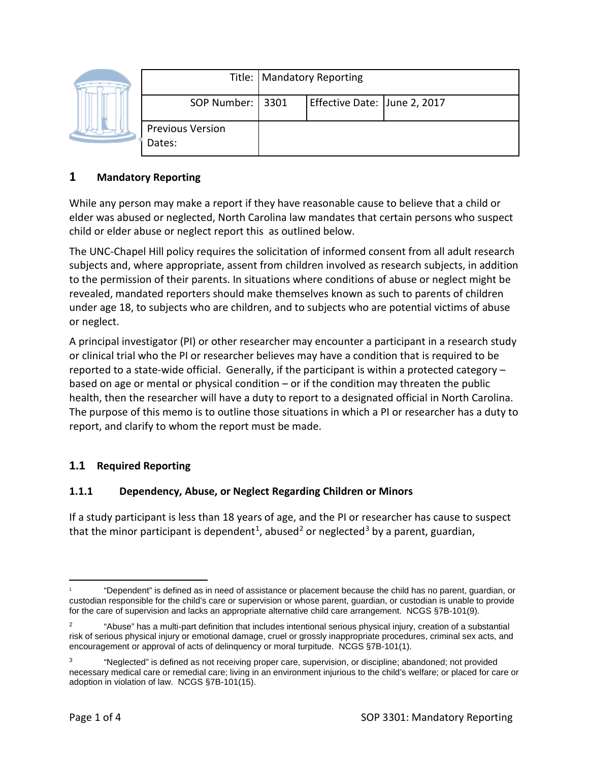|  |                                   | Title:   Mandatory Reporting |                              |  |
|--|-----------------------------------|------------------------------|------------------------------|--|
|  | SOP Number: 3301                  |                              | Effective Date: June 2, 2017 |  |
|  | <b>Previous Version</b><br>Dates: |                              |                              |  |

### **1 Mandatory Reporting**

While any person may make a report if they have reasonable cause to believe that a child or elder was abused or neglected, North Carolina law mandates that certain persons who suspect child or elder abuse or neglect report this as outlined below.

The UNC-Chapel Hill policy requires the solicitation of informed consent from all adult research subjects and, where appropriate, assent from children involved as research subjects, in addition to the permission of their parents. In situations where conditions of abuse or neglect might be revealed, mandated reporters should make themselves known as such to parents of children under age 18, to subjects who are children, and to subjects who are potential victims of abuse or neglect.

A principal investigator (PI) or other researcher may encounter a participant in a research study or clinical trial who the PI or researcher believes may have a condition that is required to be reported to a state-wide official. Generally, if the participant is within a protected category – based on age or mental or physical condition – or if the condition may threaten the public health, then the researcher will have a duty to report to a designated official in North Carolina. The purpose of this memo is to outline those situations in which a PI or researcher has a duty to report, and clarify to whom the report must be made.

## **1.1 Required Reporting**

#### **1.1.1 Dependency, Abuse, or Neglect Regarding Children or Minors**

If a study participant is less than 18 years of age, and the PI or researcher has cause to suspect that the minor participant is dependent<sup>1</sup>, abused<sup>[2](#page-0-1)</sup> or neglected<sup>[3](#page-0-2)</sup> by a parent, guardian,

<span id="page-0-0"></span> <sup>1</sup> "Dependent" is defined as in need of assistance or placement because the child has no parent, guardian, or custodian responsible for the child's care or supervision or whose parent, guardian, or custodian is unable to provide for the care of supervision and lacks an appropriate alternative child care arrangement. NCGS §7B-101(9).

<span id="page-0-1"></span><sup>2</sup> "Abuse" has a multi-part definition that includes intentional serious physical injury, creation of a substantial risk of serious physical injury or emotional damage, cruel or grossly inappropriate procedures, criminal sex acts, and encouragement or approval of acts of delinquency or moral turpitude. NCGS §7B-101(1).

<span id="page-0-2"></span><sup>3</sup> "Neglected" is defined as not receiving proper care, supervision, or discipline; abandoned; not provided necessary medical care or remedial care; living in an environment injurious to the child's welfare; or placed for care or adoption in violation of law. NCGS §7B-101(15).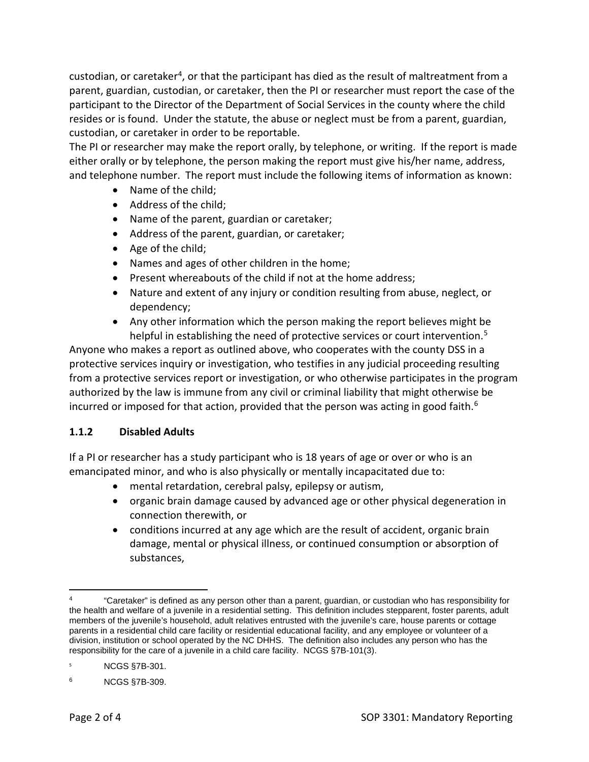custodian, or caretaker<sup>[4](#page-1-0)</sup>, or that the participant has died as the result of maltreatment from a parent, guardian, custodian, or caretaker, then the PI or researcher must report the case of the participant to the Director of the Department of Social Services in the county where the child resides or is found. Under the statute, the abuse or neglect must be from a parent, guardian, custodian, or caretaker in order to be reportable.

The PI or researcher may make the report orally, by telephone, or writing. If the report is made either orally or by telephone, the person making the report must give his/her name, address, and telephone number. The report must include the following items of information as known:

- Name of the child;
- Address of the child;
- Name of the parent, guardian or caretaker;
- Address of the parent, guardian, or caretaker;
- Age of the child;
- Names and ages of other children in the home;
- Present whereabouts of the child if not at the home address;
- Nature and extent of any injury or condition resulting from abuse, neglect, or dependency;
- Any other information which the person making the report believes might be helpful in establishing the need of protective services or court intervention.<sup>[5](#page-1-1)</sup>

Anyone who makes a report as outlined above, who cooperates with the county DSS in a protective services inquiry or investigation, who testifies in any judicial proceeding resulting from a protective services report or investigation, or who otherwise participates in the program authorized by the law is immune from any civil or criminal liability that might otherwise be incurred or imposed for that action, provided that the person was acting in good faith.<sup>[6](#page-1-2)</sup>

#### **1.1.2 Disabled Adults**

If a PI or researcher has a study participant who is 18 years of age or over or who is an emancipated minor, and who is also physically or mentally incapacitated due to:

- mental retardation, cerebral palsy, epilepsy or autism,
- organic brain damage caused by advanced age or other physical degeneration in connection therewith, or
- conditions incurred at any age which are the result of accident, organic brain damage, mental or physical illness, or continued consumption or absorption of substances,

<span id="page-1-0"></span> $\overline{a}$ <sup>4</sup> "Caretaker" is defined as any person other than a parent, guardian, or custodian who has responsibility for the health and welfare of a juvenile in a residential setting. This definition includes stepparent, foster parents, adult members of the juvenile's household, adult relatives entrusted with the juvenile's care, house parents or cottage parents in a residential child care facility or residential educational facility, and any employee or volunteer of a division, institution or school operated by the NC DHHS. The definition also includes any person who has the responsibility for the care of a juvenile in a child care facility. NCGS §7B-101(3).

<span id="page-1-1"></span><sup>5</sup> NCGS §7B-301.

<span id="page-1-2"></span><sup>6</sup> NCGS §7B-309.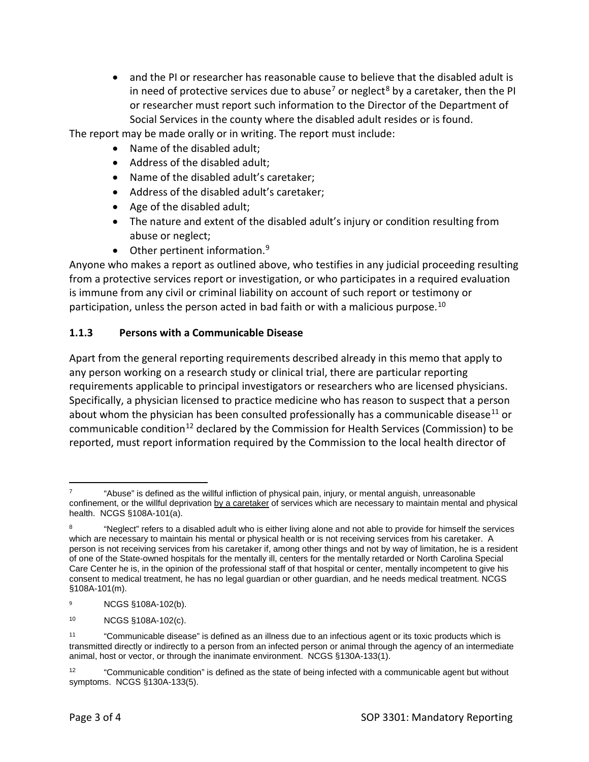• and the PI or researcher has reasonable cause to believe that the disabled adult is in need of protective services due to abuse<sup>[7](#page-2-0)</sup> or neglect<sup>[8](#page-2-1)</sup> by a caretaker, then the PI or researcher must report such information to the Director of the Department of Social Services in the county where the disabled adult resides or is found.

The report may be made orally or in writing. The report must include:

- Name of the disabled adult;
- Address of the disabled adult;
- Name of the disabled adult's caretaker;
- Address of the disabled adult's caretaker;
- Age of the disabled adult;
- The nature and extent of the disabled adult's injury or condition resulting from abuse or neglect;
- $\bullet$  Other pertinent information.<sup>[9](#page-2-2)</sup>

Anyone who makes a report as outlined above, who testifies in any judicial proceeding resulting from a protective services report or investigation, or who participates in a required evaluation is immune from any civil or criminal liability on account of such report or testimony or participation, unless the person acted in bad faith or with a malicious purpose.[10](#page-2-3)

#### **1.1.3 Persons with a Communicable Disease**

Apart from the general reporting requirements described already in this memo that apply to any person working on a research study or clinical trial, there are particular reporting requirements applicable to principal investigators or researchers who are licensed physicians. Specifically, a physician licensed to practice medicine who has reason to suspect that a person about whom the physician has been consulted professionally has a communicable disease<sup>[11](#page-2-4)</sup> or communicable condition<sup>[12](#page-2-5)</sup> declared by the Commission for Health Services (Commission) to be reported, must report information required by the Commission to the local health director of

<span id="page-2-3"></span><sup>10</sup> NCGS §108A-102(c).

<span id="page-2-0"></span> $\overline{a}$ <sup>7</sup> "Abuse" is defined as the willful infliction of physical pain, injury, or mental anguish, unreasonable confinement, or the willful deprivation by a caretaker of services which are necessary to maintain mental and physical health. NCGS §108A-101(a).

<span id="page-2-1"></span><sup>&</sup>quot;Neglect" refers to a disabled adult who is either living alone and not able to provide for himself the services which are necessary to maintain his mental or physical health or is not receiving services from his caretaker. A person is not receiving services from his caretaker if, among other things and not by way of limitation, he is a resident of one of the State-owned hospitals for the mentally ill, centers for the mentally retarded or North Carolina Special Care Center he is, in the opinion of the professional staff of that hospital or center, mentally incompetent to give his consent to medical treatment, he has no legal guardian or other guardian, and he needs medical treatment. NCGS §108A-101(m).

<span id="page-2-2"></span><sup>9</sup> NCGS §108A-102(b).

<span id="page-2-4"></span><sup>11</sup> "Communicable disease" is defined as an illness due to an infectious agent or its toxic products which is transmitted directly or indirectly to a person from an infected person or animal through the agency of an intermediate animal, host or vector, or through the inanimate environment. NCGS §130A-133(1).

<span id="page-2-5"></span><sup>12</sup> "Communicable condition" is defined as the state of being infected with a communicable agent but without symptoms. NCGS §130A-133(5).